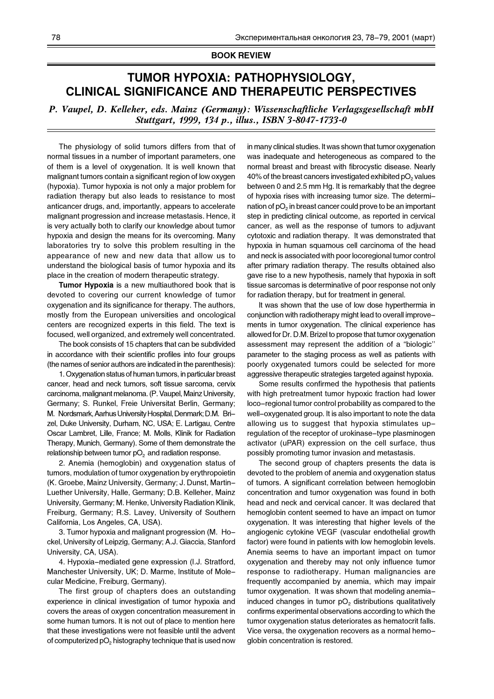## **BOOK REVIEW**

## **TUMOR HYPOXIA: PATHOPHYSIOLOGY, CLINICAL SIGNIFICANCE AND THERAPEUTIC PERSPECTIVES**

*P. Vaupel, D. Kelleher, eds. Mainz (Germany): Wissenschaftliche Verlagsgesellschaft mbH Stuttgart, 1999, 134 p., illus., ISBN 3-8047-1733-0*

The physiology of solid tumors differs from that of normal tissues in a number of important parameters, one of them is a level of oxygenation. It is well known that malignant tumors contain a significant region of low oxygen (hypoxia). Tumor hypoxia is not only a major problem for radiation therapy but also leads to resistance to most anticancer drugs, and, importantly, appears to accelerate malignant progression and increase metastasis. Hence, it is very actually both to clarify our knowledge about tumor hypoxia and design the means for its overcoming. Many laboratories try to solve this problem resulting in the appearance of new and new data that allow us to understand the biological basis of tumor hypoxia and its place in the creation of modern therapeutic strategy.

**Tumor Hypoxia** is a new multiauthored book that is devoted to covering our current knowledge of tumor oxygenation and its significance for therapy. The authors, mostly from the European universities and oncological centers are recognized experts in this field. The text is focused, well organized, and extremely well concentrated.

The book consists of 15 chapters that can be subdivided in accordance with their scientific profiles into four groups (the names of senior authors are indicated in the parenthesis):

1. Oxygenation status of human tumors, in particular breast cancer, head and neck tumors, soft tissue sarcoma, cervix carcinoma, malignant melanoma. (P. Vaupel, Mainz University, Germany; S. Runkel, Freie Universitat Berlin, Germany; M. Nordsmark, Aarhus University Hospital, Denmark; D.M. Brizel, Duke University, Durham, NC, USA; E. Lartigau, Centre Oscar Lambret, Lille, France; M. Molls, Klinik for Radiation Therapy, Munich, Germany). Some of them demonstrate the relationship between tumor  $pO<sub>2</sub>$  and radiation response.

2. Anemia (hemoglobin) and oxygenation status of tumors, modulation of tumor oxygenation by erythropoietin (K. Groebe, Mainz University, Germany; J. Dunst, Martin-Luether University, Halle, Germany; D.B. Kelleher, Mainz University, Germany; M. Henke, University Radiation Klinik, Freiburg, Germany; R.S. Lavey, University of Southern California, Los Angeles, CA, USA).

3. Tumor hypoxia and malignant progression (M. Hockel, University of Leipzig, Germany; A.J. Giaccia, Stanford University, CA, USA).

4. Hypoxia-mediated gene expression (I.J. Stratford, Manchester University, UK; D. Marme, Institute of Molecular Medicine, Freiburg, Germany).

The first group of chapters does an outstanding experience in clinical investigation of tumor hypoxia and covers the areas of oxygen concentration measurement in some human tumors. It is not out of place to mention here that these investigations were not feasible until the advent of computerized pO<sub>2</sub> histography technique that is used now in many clinical studies. It was shown that tumor oxygenation was inadequate and heterogeneous as compared to the normal breast and breast with fibrocystic disease. Nearly 40% of the breast cancers investigated exhibited  $pO<sub>2</sub>$  values between 0 and 2.5 mm Hg. It is remarkably that the degree of hypoxia rises with increasing tumor size. The determination of  $pO<sub>2</sub>$  in breast cancer could prove to be an important step in predicting clinical outcome, as reported in cervical cancer, as well as the response of tumors to adjuvant cytotoxic and radiation therapy. It was demonstrated that hypoxia in human squamous cell carcinoma of the head and neck is associated with poor locoregional tumor control after primary radiation therapy. The results obtained also gave rise to a new hypothesis, namely that hypoxia in soft tissue sarcomas is determinative of poor response not only for radiation therapy, but for treatment in general.

It was shown that the use of low dose hyperthermia in conjunction with radiotherapy might lead to overall improvements in tumor oxygenation. The clinical experience has allowed for Dr. D.M. Brizel to propose that tumor oxygenation assessment may represent the addition of a "biologic" parameter to the staging process as well as patients with poorly oxygenated tumors could be selected for more aggressive therapeutic strategies targeted against hypoxia.

Some results confirmed the hypothesis that patients with high pretreatment tumor hypoxic fraction had lower loco-regional tumor control probability as compared to the well-oxygenated group. It is also important to note the data allowing us to suggest that hypoxia stimulates upregulation of the receptor of urokinase-type plasminogen activator (uPAR) expression on the cell surface, thus possibly promoting tumor invasion and metastasis.

The second group of chapters presents the data is devoted to the problem of anemia and oxygenation status of tumors. A significant correlation between hemoglobin concentration and tumor oxygenation was found in both head and neck and cervical cancer. It was declared that hemoglobin content seemed to have an impact on tumor oxygenation. It was interesting that higher levels of the angiogenic cytokine VEGF (vascular endothelial growth factor) were found in patients with low hemoglobin levels. Anemia seems to have an important impact on tumor oxygenation and thereby may not only influence tumor response to radiotherapy. Human malignancies are frequently accompanied by anemia, which may impair tumor oxygenation. It was shown that modeling anemiainduced changes in tumor  $pO<sub>2</sub>$  distributions qualitatively confirms experimental observations according to which the tumor oxygenation status deteriorates as hematocrit falls. Vice versa, the oxygenation recovers as a normal hemoglobin concentration is restored.